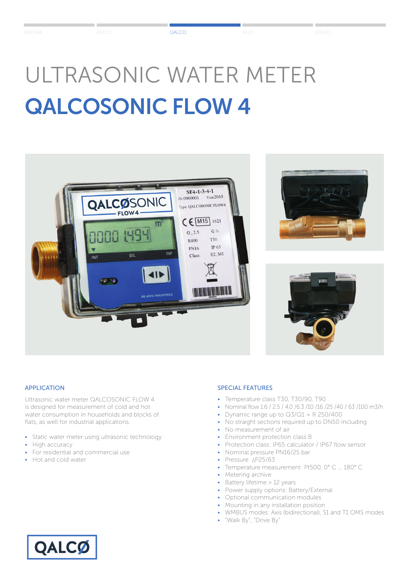# ULTRASONIC WATER METER QALCOSONIC FLOW 4







#### APPLICATION

Ultrasonic water meter QALCOSONIC FLOW 4 is designed for measurement of cold and hot water consumption in households and blocks of flats, as well for industrial applications.

- Static water meter using ultrasonic technology
- High accuracy
- For residential and commercial use
- Hot and cold water

# SPECIAL FEATURES

- Temperature class T30, T30/90, T90
- Nominal flow 1.6 / 2.5 / 4.0 /6.3 /10 /16 /25 /40 / 63 /100 m3/h
- Dynamic range up to  $Q3/Q1 = R 250/400$
- No straight sections required up to DN50 including
- No measurement of air
- Environment protection class B
- Protection class: IP65 calculator / IP67 flow sensor
- Nominal pressure PN16/25 bar
- Pressure AP25/63
- Temperature measurement Pt500, 0° C … 180° C
- Metering archive
- Battery lifetime > 12 years
- Power supply options: Battery/External
- Optional communication modules
- Mounting in any installation position
- WMBUS modes: Axis (bidirectional), S1 and T1 OMS modes
- "Walk By", "Drive By"

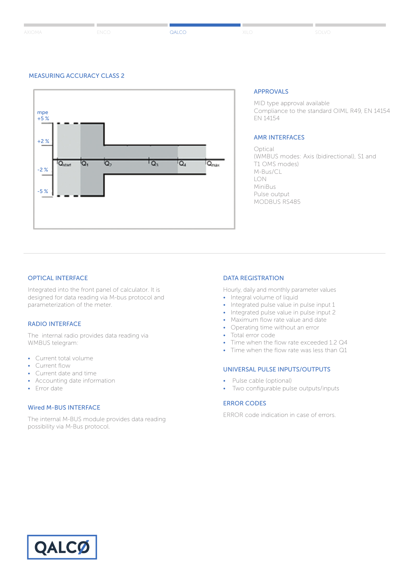#### MEASURING ACCURACY CLASS 2



#### APPROVALS

MID type approval available Compliance to the standard OIML R49, EN 14154 EN 14154

## AMR INTERFACES

Optical (WMBUS modes: Axis (bidirectional), S1 and T1 OMS modes) M-Bus/CL LON MiniBus Pulse output MODBUS RS485

## OPTICAL INTERFACE

Integrated into the front panel of calculator. It is designed for data reading via M-bus protocol and parameterization of the meter.

## RADIO INTERFACE

The internal radio provides data reading via WMBUS telegram:

- Current total volume
- Current flow
- Current date and time
- Accounting date information
- Error date

#### Wired M-BUS INTERFACE

The internal M-BUS module provides data reading possibility via M-Bus protocol.

#### DATA REGISTRATION

Hourly, daily and monthly parameter values

- Integral volume of liquid
- Integrated pulse value in pulse input 1 • Integrated pulse value in pulse input 2
- 
- Maximum flow rate value and date • Operating time without an error
- Total error code
- 
- Time when the flow rate exceeded 1.2 Q4
- Time when the flow rate was less than Q1

## UNIVERSAL PULSE INPUTS/OUTPUTS

- Pulse cable (optional)
- Two configurable pulse outputs/inputs

### ERROR CODES

ERROR code indication in case of errors.

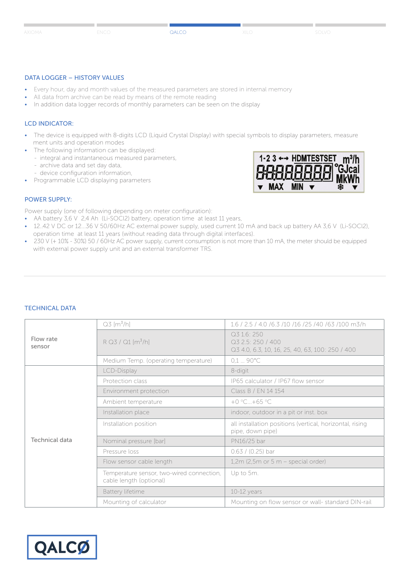#### DATA LOGGER – HISTORY VALUES

- Every hour, day and month values of the measured parameters are stored in internal memory
- All data from archive can be read by means of the remote reading
- In addition data logger records of monthly parameters can be seen on the display

## LCD INDICATOR:

- The device is equipped with 8-digits LCD (Liquid Crystal Display) with special symbols to display parameters, measure ment units and operation modes
- The following information can be displayed:
- integral and instantaneous measured parameters,
	- archive data and set day data,
	- device configuration information,
- Programmable LCD displaying parameters



#### POWER SUPPLY:

Power supply (one of following depending on meter configuration):

- AA battery 3,6 V 2,4 Ah (Li-SOCl2) battery, operation time at least 11 years,
- 12..42 V DC or 12...36 V 50/60Hz AC external power supply, used current 10 mA and back up battery AA 3,6 V (Li-SOCl2), operation time at least 11 years (without reading data through digital interfaces).
- 230 V (+ 10% 30%) 50 / 60Hz AC power supply, current consumption is not more than 10 mA, the meter should be equipped with external power supply unit and an external transformer TRS.

#### TECHNICAL DATA

|                     | $Q3$ [m <sup>3</sup> /h]                                             | 1.6 / 2.5 / 4.0 / 6.3 / 10 / 16 / 25 / 40 / 63 / 100 m3/h                           |  |  |  |
|---------------------|----------------------------------------------------------------------|-------------------------------------------------------------------------------------|--|--|--|
| Flow rate<br>sensor | $R$ Q3 / Q1 [ $m^3/h$ ]                                              | Q3 1.6: 250<br>Q3 2.5: 250 / 400<br>Q3 4.0, 6.3, 10, 16, 25, 40, 63, 100: 250 / 400 |  |  |  |
|                     | Medium Temp. (operating temperature)                                 | $0,190^{\circ}$ C                                                                   |  |  |  |
|                     | LCD-Display                                                          | 8-digit                                                                             |  |  |  |
|                     | Protection class                                                     | IP65 calculator / IP67 flow sensor                                                  |  |  |  |
|                     | Environment protection                                               | Class B / EN 14 154                                                                 |  |  |  |
|                     | Ambient temperature                                                  | $+0 °C+65 °C$                                                                       |  |  |  |
|                     | Installation place                                                   | indoor, outdoor in a pit or inst. box                                               |  |  |  |
|                     | Installation position                                                | all installation positions (vertical, horizontal, rising<br>pipe, down pipe)        |  |  |  |
| Technical data      | Nominal pressure [bar]                                               | PN16/25 bar                                                                         |  |  |  |
|                     | Pressure loss                                                        | $0.63 / (0.25)$ bar                                                                 |  |  |  |
|                     | Flow sensor cable length                                             | $1,2m$ (2,5m or 5 m – special order)                                                |  |  |  |
|                     | Temperature sensor, two-wired connection,<br>cable length (optional) | Up to 5m.                                                                           |  |  |  |
|                     | Battery lifetime                                                     | $10-12$ years                                                                       |  |  |  |
|                     | Mounting of calculator                                               | Mounting on flow sensor or wall-standard DIN-rail                                   |  |  |  |



İ